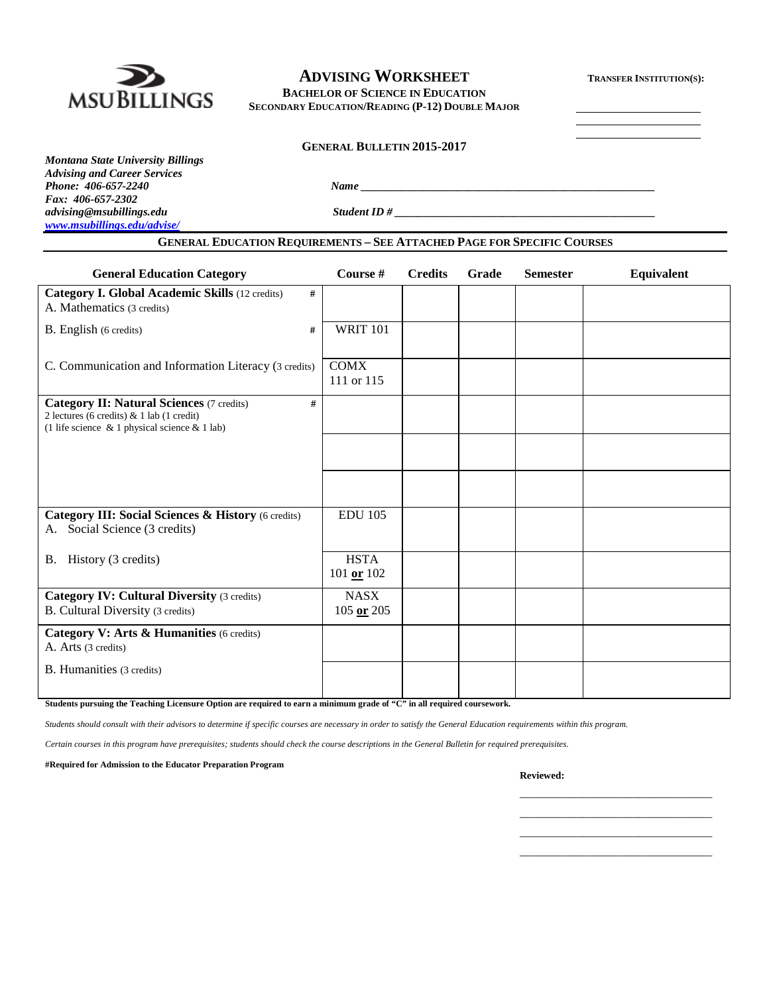

# **ADVISING WORKSHEET TRANSFER INSTITUTION(S):**

**BACHELOR OF SCIENCE IN EDUCATION SECONDARY EDUCATION/READING (P-12) DOUBLE MAJOR**

#### **GENERAL BULLETIN 2015-2017**

*Montana State University Billings Advising and Career Services Fax: 406-657-2302 [www.msubillings.edu/advise/](http://www.msubillings.edu/advise/)*

*Phone: 406-657-2240 Name \_\_\_\_\_\_\_\_\_\_\_\_\_\_\_\_\_\_\_\_\_\_\_\_\_\_\_\_\_\_\_\_\_\_\_\_\_\_\_\_\_\_\_\_\_\_\_\_\_\_\_\_ advising@msubillings.edu Student ID # \_\_\_\_\_\_\_\_\_\_\_\_\_\_\_\_\_\_\_\_\_\_\_\_\_\_\_\_\_\_\_\_\_\_\_\_\_\_\_\_\_\_\_\_\_\_*

### **GENERAL EDUCATION REQUIREMENTS – SEE ATTACHED PAGE FOR SPECIFIC COURSES**

| <b>General Education Category</b>                                                                                                                           | Course #                      | <b>Credits</b> | Grade | <b>Semester</b> | Equivalent |
|-------------------------------------------------------------------------------------------------------------------------------------------------------------|-------------------------------|----------------|-------|-----------------|------------|
| <b>Category I. Global Academic Skills (12 credits)</b><br>#<br>A. Mathematics (3 credits)                                                                   |                               |                |       |                 |            |
| B. English (6 credits)<br>#                                                                                                                                 | <b>WRIT 101</b>               |                |       |                 |            |
| C. Communication and Information Literacy (3 credits)                                                                                                       | <b>COMX</b><br>111 or 115     |                |       |                 |            |
| <b>Category II: Natural Sciences (7 credits)</b><br>#<br>2 lectures (6 credits) $& 1$ lab (1 credit)<br>(1 life science $\&$ 1 physical science $\&$ 1 lab) |                               |                |       |                 |            |
|                                                                                                                                                             |                               |                |       |                 |            |
|                                                                                                                                                             |                               |                |       |                 |            |
| Category III: Social Sciences & History (6 credits)<br>Social Science (3 credits)<br>A.                                                                     | <b>EDU 105</b>                |                |       |                 |            |
| B. History (3 credits)                                                                                                                                      | <b>HSTA</b><br>101 or 102     |                |       |                 |            |
| <b>Category IV: Cultural Diversity (3 credits)</b><br>B. Cultural Diversity (3 credits)                                                                     | <b>NASX</b><br>$105$ or $205$ |                |       |                 |            |
| Category V: Arts & Humanities (6 credits)<br>A. Arts (3 credits)                                                                                            |                               |                |       |                 |            |
| B. Humanities (3 credits)                                                                                                                                   |                               |                |       |                 |            |

**Students pursuing the Teaching Licensure Option are required to earn a minimum grade of "C" in all required coursework.**

*Students should consult with their advisors to determine if specific courses are necessary in order to satisfy the General Education requirements within this program.*

*Certain courses in this program have prerequisites; students should check the course descriptions in the General Bulletin for required prerequisites.*

**#Required for Admission to the Educator Preparation Program**

**Reviewed:**

\_\_\_\_\_\_\_\_\_\_\_\_\_\_\_\_\_\_\_\_\_\_\_\_\_\_\_\_\_\_\_\_\_\_ \_\_\_\_\_\_\_\_\_\_\_\_\_\_\_\_\_\_\_\_\_\_\_\_\_\_\_\_\_\_\_\_\_\_ \_\_\_\_\_\_\_\_\_\_\_\_\_\_\_\_\_\_\_\_\_\_\_\_\_\_\_\_\_\_\_\_\_\_ \_\_\_\_\_\_\_\_\_\_\_\_\_\_\_\_\_\_\_\_\_\_\_\_\_\_\_\_\_\_\_\_\_\_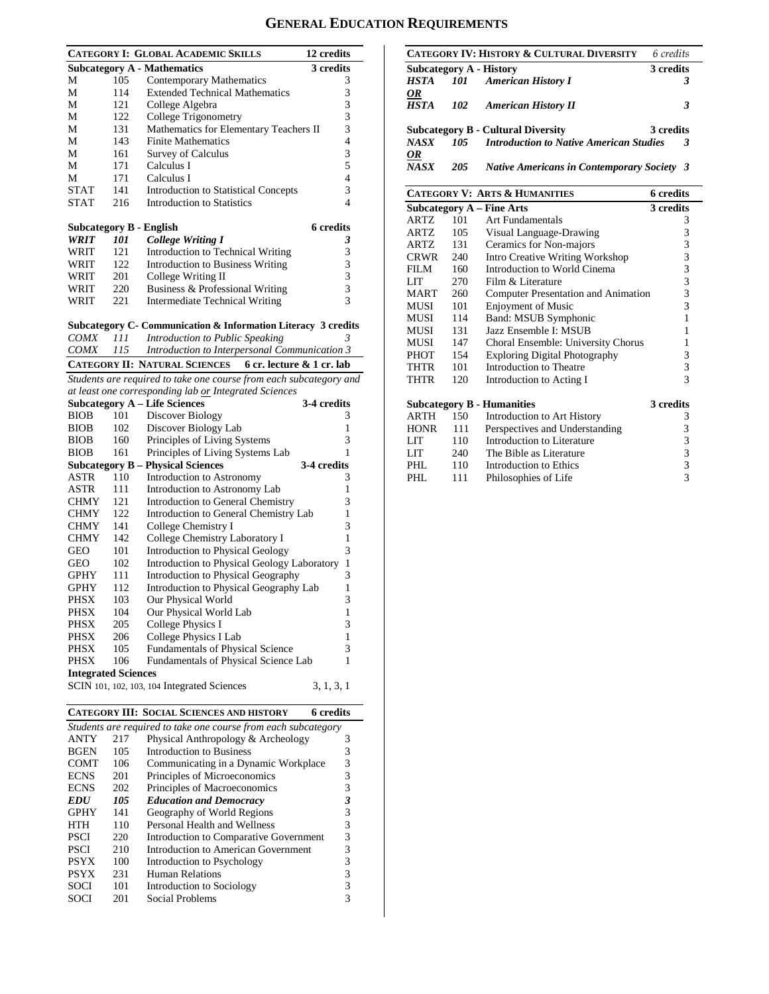### **GENERAL EDUCATION REQUIREMENTS**

|                                                                                                         | 12 credits               |
|---------------------------------------------------------------------------------------------------------|--------------------------|
| CATEGORY I: GLOBAL ACADEMIC SKILLS<br><b>Subcategory A - Mathematics</b><br>3 credits                   |                          |
| М<br>105<br>Contemporary Mathematics                                                                    | 3                        |
| <b>Extended Technical Mathematics</b><br>114<br>М                                                       | 3                        |
| 121<br>College Algebra<br>М                                                                             | 3                        |
| 122<br>College Trigonometry<br>М                                                                        | 3                        |
| Mathematics for Elementary Teachers II<br>131<br>М                                                      | 3                        |
| 143<br><b>Finite Mathematics</b><br>М                                                                   | $\overline{\mathcal{L}}$ |
| М<br>161<br>Survey of Calculus                                                                          | 3                        |
| 171<br>Calculus I<br>М                                                                                  | 5                        |
| 171<br>Calculus I<br>М                                                                                  | 4                        |
| <b>STAT</b><br>141<br><b>Introduction to Statistical Concepts</b>                                       | 3                        |
| <b>STAT</b><br><b>Introduction to Statistics</b><br>216                                                 | 4                        |
|                                                                                                         |                          |
| <b>6</b> credits<br><b>Subcategory B - English</b>                                                      |                          |
| <b>College Writing I</b><br>WRIT<br>101                                                                 | 3                        |
| 121<br>Introduction to Technical Writing<br>WRIT                                                        | 3                        |
| 122<br><b>Introduction to Business Writing</b><br>WRIT                                                  | 3                        |
| 201<br>College Writing II<br>WRIT                                                                       | 3                        |
| 220<br>Business & Professional Writing<br>WRIT                                                          | 3                        |
| 221<br><b>Intermediate Technical Writing</b><br>WRIT                                                    | 3                        |
|                                                                                                         |                          |
| Subcategory C- Communication & Information Literacy 3 credits<br>Introduction to Public Speaking<br>111 | 3                        |
| <i>COMX</i><br><b>COMX</b><br>115<br>Introduction to Interpersonal Communication 3                      |                          |
|                                                                                                         |                          |
| <b>CATEGORY II: NATURAL SCIENCES</b><br>6 cr. lecture & 1 cr. lab                                       |                          |
| Students are required to take one course from each subcategory and                                      |                          |
| at least one corresponding lab or Integrated Sciences                                                   |                          |
| <b>Subcategory A – Life Sciences</b><br>3-4 credits                                                     |                          |
| Discover Biology<br><b>BIOB</b><br>101                                                                  | 3<br>1                   |
| Discover Biology Lab<br><b>BIOB</b><br>102<br>160                                                       | 3                        |
| Principles of Living Systems<br><b>BIOB</b>                                                             | 1                        |
| Principles of Living Systems Lab<br><b>BIOB</b><br>161                                                  |                          |
| <b>Subcategory B - Physical Sciences</b><br>3-4 credits                                                 |                          |
|                                                                                                         |                          |
| ASTR<br>110<br>Introduction to Astronomy                                                                | 3                        |
| ASTR<br>111<br>Introduction to Astronomy Lab                                                            | 1                        |
| 121<br>Introduction to General Chemistry<br><b>CHMY</b>                                                 | 3                        |
| 122<br>Introduction to General Chemistry Lab<br><b>CHMY</b>                                             | 1                        |
| 141<br>College Chemistry I<br><b>CHMY</b>                                                               | 3                        |
| <b>CHMY</b><br>142<br>College Chemistry Laboratory I                                                    | 1                        |
| Introduction to Physical Geology<br>GEO<br>101                                                          | 3                        |
| Introduction to Physical Geology Laboratory<br>GEO<br>102                                               | $\mathbf{1}$             |
| Introduction to Physical Geography<br>GPHY<br>111                                                       | 3                        |
| 112<br>Introduction to Physical Geography Lab<br>GPHY                                                   | 1                        |
| PHSX<br>103<br>Our Physical World                                                                       | 3                        |
| PHSX<br>104<br>Our Physical World Lab                                                                   | 1                        |
| PHSX<br>205<br>College Physics I                                                                        | 3                        |
| PHSX<br>206<br>College Physics I Lab                                                                    | 1                        |
| <b>PHSX</b><br>105<br><b>Fundamentals of Physical Science</b>                                           | 3                        |
| Fundamentals of Physical Science Lab<br>PHSX<br>106                                                     | 1                        |
| <b>Integrated Sciences</b><br>SCIN 101, 102, 103, 104 Integrated Sciences<br>3, 1, 3, 1                 |                          |

|                                                                |     | сим эспятсы мэг шэгэмт                 |   |  |  |  |  |
|----------------------------------------------------------------|-----|----------------------------------------|---|--|--|--|--|
| Students are required to take one course from each subcategory |     |                                        |   |  |  |  |  |
| <b>ANTY</b>                                                    | 217 | Physical Anthropology & Archeology     | 3 |  |  |  |  |
| <b>BGEN</b>                                                    | 105 | Introduction to Business               | 3 |  |  |  |  |
| <b>COMT</b>                                                    | 106 | Communicating in a Dynamic Workplace   | 3 |  |  |  |  |
| <b>ECNS</b>                                                    | 201 | Principles of Microeconomics           | 3 |  |  |  |  |
| <b>ECNS</b>                                                    | 202 | Principles of Macroeconomics           | 3 |  |  |  |  |
| <b>EDU</b>                                                     | 105 | <b>Education and Democracy</b>         | 3 |  |  |  |  |
| <b>GPHY</b>                                                    | 141 | Geography of World Regions             | 3 |  |  |  |  |
| <b>HTH</b>                                                     | 110 | Personal Health and Wellness           | 3 |  |  |  |  |
| <b>PSCI</b>                                                    | 220 | Introduction to Comparative Government | 3 |  |  |  |  |
| <b>PSCI</b>                                                    | 210 | Introduction to American Government    | 3 |  |  |  |  |
| <b>PSYX</b>                                                    | 100 | Introduction to Psychology             | 3 |  |  |  |  |
| <b>PSYX</b>                                                    | 231 | <b>Human Relations</b>                 | 3 |  |  |  |  |
| <b>SOCI</b>                                                    | 101 | Introduction to Sociology              | 3 |  |  |  |  |
| SOCI                                                           | 201 | Social Problems                        |   |  |  |  |  |
|                                                                |     |                                        |   |  |  |  |  |

|                          |       | CATEGORY IV: HISTORY & CULTURAL DIVERSITY         | 6 credits |
|--------------------------|-------|---------------------------------------------------|-----------|
|                          |       | Subcategory A - History                           | 3 credits |
|                          |       | <b>HSTA</b> 101 American History I                | 3         |
| <u>OR</u><br><b>HSTA</b> | 102   | <b>American History II</b>                        | 3         |
|                          |       | <b>Subcategory B - Cultural Diversity</b>         | 3 credits |
| <b>NASX</b>              | 105 L | <b>Introduction to Native American Studies</b>    | 3         |
| <u>OR</u><br><b>NASX</b> | 205   | <b>Native Americans in Contemporary Society 3</b> |           |

#### **CATEGORY V: ARTS & HUMANITIES 6 credits Subcategory A – Fine Arts** 3 credits<br>ARTZ 101 Art Fundamentals 3 ARTZ 101 Art Fundamentals 3<br>ARTZ 105 Visual Language-Drawing 3 Visual Language-Drawing ARTZ 131 Ceramics for Non-majors 3<br>CRWR 240 Intro Creative Writing Workshop 3 CRWR 240 Intro Creative Writing Workshop 3<br>FILM 160 Introduction to World Cinema 3 FILM 160 Introduction to World Cinema 3<br>LIT 270 Film & Literature 3 Film & Literature MART 260 Computer Presentation and Animation 3<br>MUSI 101 Enjoyment of Music 3 MUSI 101 Enjoyment of Music 3<br>MUSI 114 Band: MSUB Symphonic 1 MUSI 114 Band: MSUB Symphonic<br>MUSI 131 Jazz Ensemble I: MSUB MUSI 131 Jazz Ensemble I: MSUB 1<br>MUSI 147 Choral Ensemble: University Chorus 1 MUSI 147 Choral Ensemble: University Chorus 1<br>PHOT 154 Exploring Digital Photography 3 Exploring Digital Photography 3<br>Introduction to Theatre 3 THTR 101 Introduction to Theatre 3<br>THTR 120 Introduction to Acting I 3 Introduction to Acting I **Subcategory B - Humanities 3 credits** ARTH 150 Introduction to Art History 3<br>HONR 111 Perspectives and Understanding 3 HONR 111 Perspectives and Understanding 3<br>LIT 110 Introduction to Literature 3 Introduction to Literature 3<br>The Bible as Literature 3 LIT 240 The Bible as Literature 3<br>PHL 110 Introduction to Ethics 3 PHL 110 Introduction to Ethics 3<br>PHL 111 Philosophies of Life 3 Philosophies of Life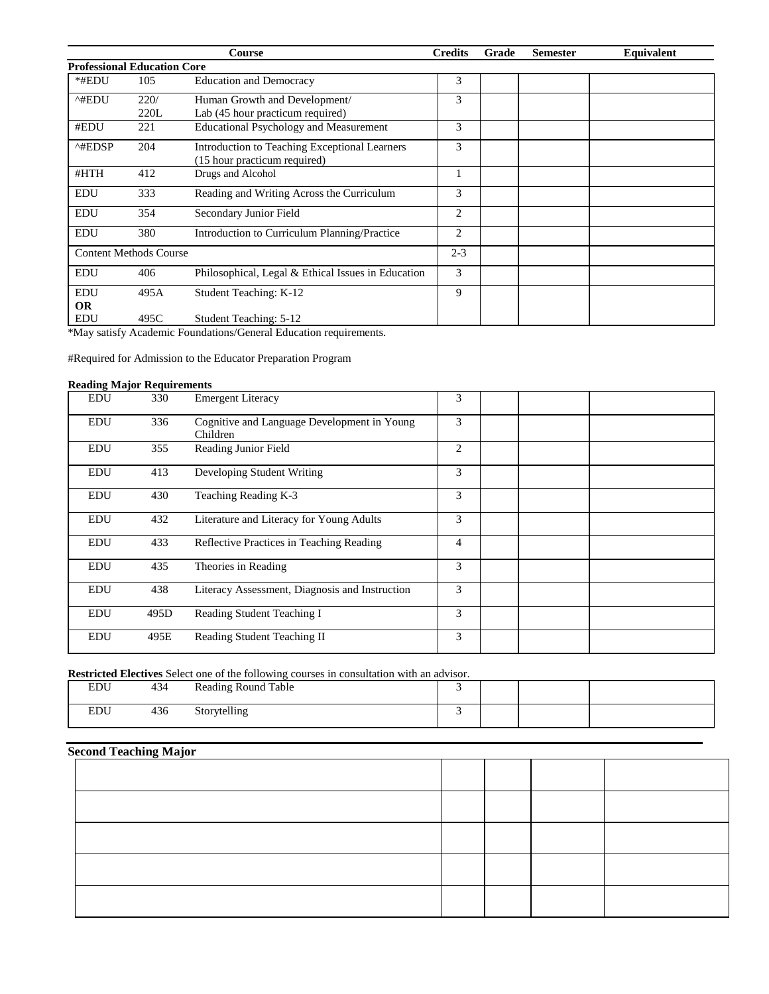|                                    |      | Course                                             | <b>Credits</b> | Grade | <b>Semester</b> | Equivalent |
|------------------------------------|------|----------------------------------------------------|----------------|-------|-----------------|------------|
| <b>Professional Education Core</b> |      |                                                    |                |       |                 |            |
| *#EDU                              | 105  | <b>Education and Democracy</b>                     | 3              |       |                 |            |
| ^#EDU                              | 220/ | Human Growth and Development/                      | 3              |       |                 |            |
|                                    | 220L | Lab (45 hour practicum required)                   |                |       |                 |            |
| #EDU                               | 221  | <b>Educational Psychology and Measurement</b>      | 3              |       |                 |            |
| ^#EDSP                             | 204  | Introduction to Teaching Exceptional Learners      | 3              |       |                 |            |
|                                    |      | (15 hour practicum required)                       |                |       |                 |            |
| #HTH                               | 412  | Drugs and Alcohol                                  |                |       |                 |            |
| <b>EDU</b>                         | 333  | Reading and Writing Across the Curriculum          | 3              |       |                 |            |
| <b>EDU</b>                         | 354  | Secondary Junior Field                             | $\overline{2}$ |       |                 |            |
| <b>EDU</b>                         | 380  | Introduction to Curriculum Planning/Practice       | $\overline{2}$ |       |                 |            |
| <b>Content Methods Course</b>      |      |                                                    | $2 - 3$        |       |                 |            |
| <b>EDU</b>                         | 406  | Philosophical, Legal & Ethical Issues in Education | 3              |       |                 |            |
| <b>EDU</b>                         | 495A | Student Teaching: K-12                             | 9              |       |                 |            |
| <b>OR</b>                          |      |                                                    |                |       |                 |            |
| <b>EDU</b>                         | 495C | Student Teaching: 5-12                             |                |       |                 |            |

\*May satisfy Academic Foundations/General Education requirements.

#Required for Admission to the Educator Preparation Program

### **Reading Major Requirements**

| <b>EDU</b> | 330  | <b>Emergent Literacy</b>                                | 3              |  |  |
|------------|------|---------------------------------------------------------|----------------|--|--|
| <b>EDU</b> | 336  | Cognitive and Language Development in Young<br>Children | 3              |  |  |
| <b>EDU</b> | 355  | Reading Junior Field                                    | 2              |  |  |
| <b>EDU</b> | 413  | Developing Student Writing                              | 3              |  |  |
| EDU        | 430  | Teaching Reading K-3                                    | 3              |  |  |
| <b>EDU</b> | 432  | Literature and Literacy for Young Adults                | 3              |  |  |
| <b>EDU</b> | 433  | Reflective Practices in Teaching Reading                | $\overline{4}$ |  |  |
| EDU        | 435  | Theories in Reading                                     | 3              |  |  |
| <b>EDU</b> | 438  | Literacy Assessment, Diagnosis and Instruction          | 3              |  |  |
| <b>EDU</b> | 495D | Reading Student Teaching I                              | 3              |  |  |
| <b>EDU</b> | 495E | Reading Student Teaching II                             | 3              |  |  |

**Restricted Electives** Select one of the following courses in consultation with an advisor.

| <b>DDI</b>     | $\Lambda$ $\Lambda$<br>434 | <b>Reading Round Table</b> |  |  |
|----------------|----------------------------|----------------------------|--|--|
| EDII<br>$\sim$ | 436                        | Storytelling               |  |  |

# **Second Teaching Major**